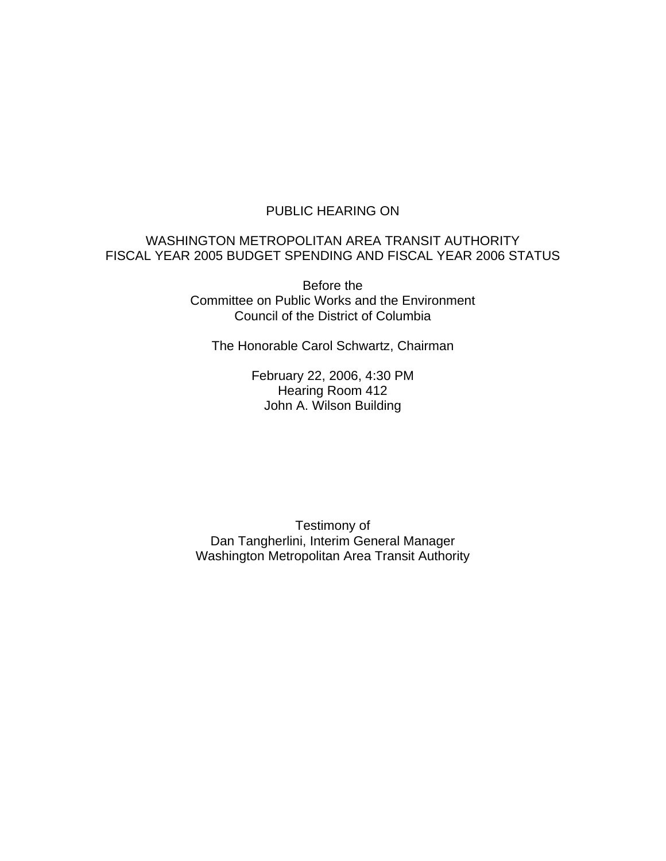#### PUBLIC HEARING ON

#### WASHINGTON METROPOLITAN AREA TRANSIT AUTHORITY FISCAL YEAR 2005 BUDGET SPENDING AND FISCAL YEAR 2006 STATUS

Before the Committee on Public Works and the Environment Council of the District of Columbia

The Honorable Carol Schwartz, Chairman

February 22, 2006, 4:30 PM Hearing Room 412 John A. Wilson Building

Testimony of Dan Tangherlini, Interim General Manager Washington Metropolitan Area Transit Authority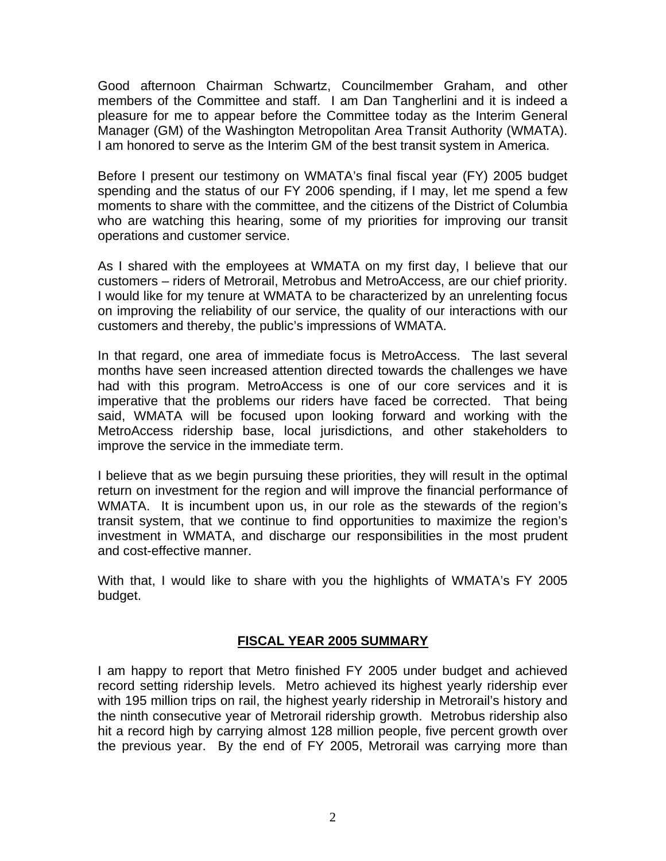Good afternoon Chairman Schwartz, Councilmember Graham, and other members of the Committee and staff. I am Dan Tangherlini and it is indeed a pleasure for me to appear before the Committee today as the Interim General Manager (GM) of the Washington Metropolitan Area Transit Authority (WMATA). I am honored to serve as the Interim GM of the best transit system in America.

Before I present our testimony on WMATA's final fiscal year (FY) 2005 budget spending and the status of our FY 2006 spending, if I may, let me spend a few moments to share with the committee, and the citizens of the District of Columbia who are watching this hearing, some of my priorities for improving our transit operations and customer service.

As I shared with the employees at WMATA on my first day, I believe that our customers – riders of Metrorail, Metrobus and MetroAccess, are our chief priority. I would like for my tenure at WMATA to be characterized by an unrelenting focus on improving the reliability of our service, the quality of our interactions with our customers and thereby, the public's impressions of WMATA.

In that regard, one area of immediate focus is MetroAccess. The last several months have seen increased attention directed towards the challenges we have had with this program. MetroAccess is one of our core services and it is imperative that the problems our riders have faced be corrected. That being said, WMATA will be focused upon looking forward and working with the MetroAccess ridership base, local jurisdictions, and other stakeholders to improve the service in the immediate term.

I believe that as we begin pursuing these priorities, they will result in the optimal return on investment for the region and will improve the financial performance of WMATA. It is incumbent upon us, in our role as the stewards of the region's transit system, that we continue to find opportunities to maximize the region's investment in WMATA, and discharge our responsibilities in the most prudent and cost-effective manner.

With that, I would like to share with you the highlights of WMATA's FY 2005 budget.

## **FISCAL YEAR 2005 SUMMARY**

I am happy to report that Metro finished FY 2005 under budget and achieved record setting ridership levels. Metro achieved its highest yearly ridership ever with 195 million trips on rail, the highest yearly ridership in Metrorail's history and the ninth consecutive year of Metrorail ridership growth. Metrobus ridership also hit a record high by carrying almost 128 million people, five percent growth over the previous year. By the end of FY 2005, Metrorail was carrying more than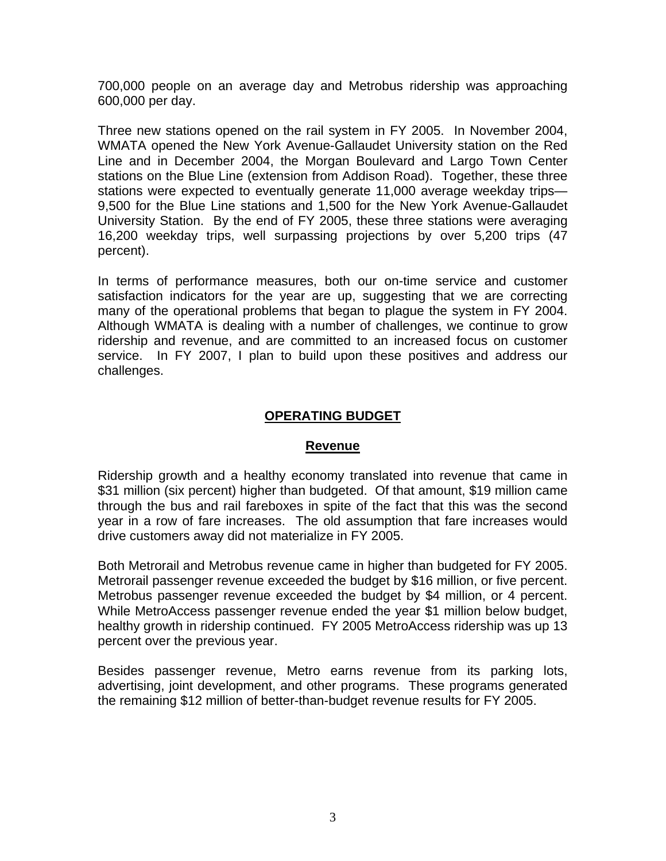700,000 people on an average day and Metrobus ridership was approaching 600,000 per day.

Three new stations opened on the rail system in FY 2005. In November 2004, WMATA opened the New York Avenue-Gallaudet University station on the Red Line and in December 2004, the Morgan Boulevard and Largo Town Center stations on the Blue Line (extension from Addison Road). Together, these three stations were expected to eventually generate 11,000 average weekday trips— 9,500 for the Blue Line stations and 1,500 for the New York Avenue-Gallaudet University Station. By the end of FY 2005, these three stations were averaging 16,200 weekday trips, well surpassing projections by over 5,200 trips (47 percent).

In terms of performance measures, both our on-time service and customer satisfaction indicators for the year are up, suggesting that we are correcting many of the operational problems that began to plague the system in FY 2004. Although WMATA is dealing with a number of challenges, we continue to grow ridership and revenue, and are committed to an increased focus on customer service. In FY 2007, I plan to build upon these positives and address our challenges.

#### **OPERATING BUDGET**

#### **Revenue**

Ridership growth and a healthy economy translated into revenue that came in \$31 million (six percent) higher than budgeted. Of that amount, \$19 million came through the bus and rail fareboxes in spite of the fact that this was the second year in a row of fare increases. The old assumption that fare increases would drive customers away did not materialize in FY 2005.

Both Metrorail and Metrobus revenue came in higher than budgeted for FY 2005. Metrorail passenger revenue exceeded the budget by \$16 million, or five percent. Metrobus passenger revenue exceeded the budget by \$4 million, or 4 percent. While MetroAccess passenger revenue ended the year \$1 million below budget, healthy growth in ridership continued. FY 2005 MetroAccess ridership was up 13 percent over the previous year.

Besides passenger revenue, Metro earns revenue from its parking lots, advertising, joint development, and other programs. These programs generated the remaining \$12 million of better-than-budget revenue results for FY 2005.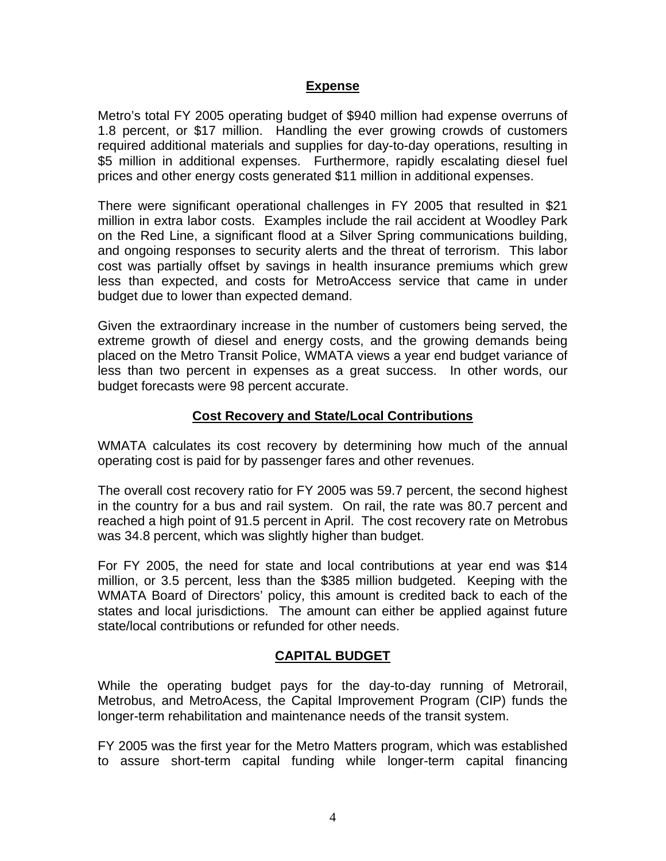#### **Expense**

Metro's total FY 2005 operating budget of \$940 million had expense overruns of 1.8 percent, or \$17 million. Handling the ever growing crowds of customers required additional materials and supplies for day-to-day operations, resulting in \$5 million in additional expenses. Furthermore, rapidly escalating diesel fuel prices and other energy costs generated \$11 million in additional expenses.

There were significant operational challenges in FY 2005 that resulted in \$21 million in extra labor costs. Examples include the rail accident at Woodley Park on the Red Line, a significant flood at a Silver Spring communications building, and ongoing responses to security alerts and the threat of terrorism. This labor cost was partially offset by savings in health insurance premiums which grew less than expected, and costs for MetroAccess service that came in under budget due to lower than expected demand.

Given the extraordinary increase in the number of customers being served, the extreme growth of diesel and energy costs, and the growing demands being placed on the Metro Transit Police, WMATA views a year end budget variance of less than two percent in expenses as a great success. In other words, our budget forecasts were 98 percent accurate.

#### **Cost Recovery and State/Local Contributions**

WMATA calculates its cost recovery by determining how much of the annual operating cost is paid for by passenger fares and other revenues.

The overall cost recovery ratio for FY 2005 was 59.7 percent, the second highest in the country for a bus and rail system. On rail, the rate was 80.7 percent and reached a high point of 91.5 percent in April. The cost recovery rate on Metrobus was 34.8 percent, which was slightly higher than budget.

For FY 2005, the need for state and local contributions at year end was \$14 million, or 3.5 percent, less than the \$385 million budgeted. Keeping with the WMATA Board of Directors' policy, this amount is credited back to each of the states and local jurisdictions. The amount can either be applied against future state/local contributions or refunded for other needs.

## **CAPITAL BUDGET**

While the operating budget pays for the day-to-day running of Metrorail, Metrobus, and MetroAcess, the Capital Improvement Program (CIP) funds the longer-term rehabilitation and maintenance needs of the transit system.

FY 2005 was the first year for the Metro Matters program, which was established to assure short-term capital funding while longer-term capital financing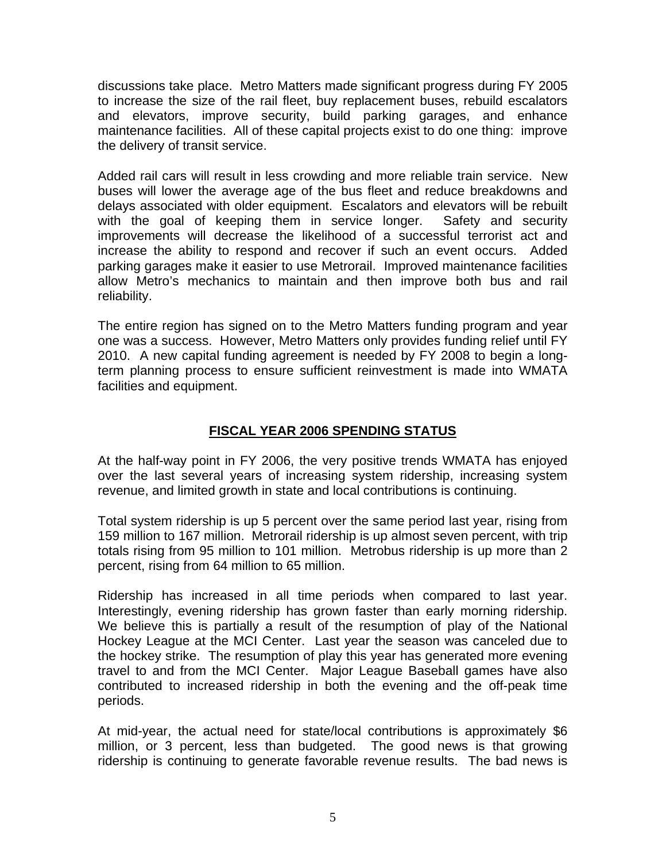discussions take place. Metro Matters made significant progress during FY 2005 to increase the size of the rail fleet, buy replacement buses, rebuild escalators and elevators, improve security, build parking garages, and enhance maintenance facilities. All of these capital projects exist to do one thing: improve the delivery of transit service.

Added rail cars will result in less crowding and more reliable train service. New buses will lower the average age of the bus fleet and reduce breakdowns and delays associated with older equipment. Escalators and elevators will be rebuilt with the goal of keeping them in service longer. Safety and security improvements will decrease the likelihood of a successful terrorist act and increase the ability to respond and recover if such an event occurs. Added parking garages make it easier to use Metrorail. Improved maintenance facilities allow Metro's mechanics to maintain and then improve both bus and rail reliability.

The entire region has signed on to the Metro Matters funding program and year one was a success. However, Metro Matters only provides funding relief until FY 2010. A new capital funding agreement is needed by FY 2008 to begin a longterm planning process to ensure sufficient reinvestment is made into WMATA facilities and equipment.

## **FISCAL YEAR 2006 SPENDING STATUS**

At the half-way point in FY 2006, the very positive trends WMATA has enjoyed over the last several years of increasing system ridership, increasing system revenue, and limited growth in state and local contributions is continuing.

Total system ridership is up 5 percent over the same period last year, rising from 159 million to 167 million. Metrorail ridership is up almost seven percent, with trip totals rising from 95 million to 101 million. Metrobus ridership is up more than 2 percent, rising from 64 million to 65 million.

Ridership has increased in all time periods when compared to last year. Interestingly, evening ridership has grown faster than early morning ridership. We believe this is partially a result of the resumption of play of the National Hockey League at the MCI Center. Last year the season was canceled due to the hockey strike. The resumption of play this year has generated more evening travel to and from the MCI Center. Major League Baseball games have also contributed to increased ridership in both the evening and the off-peak time periods.

At mid-year, the actual need for state/local contributions is approximately \$6 million, or 3 percent, less than budgeted. The good news is that growing ridership is continuing to generate favorable revenue results. The bad news is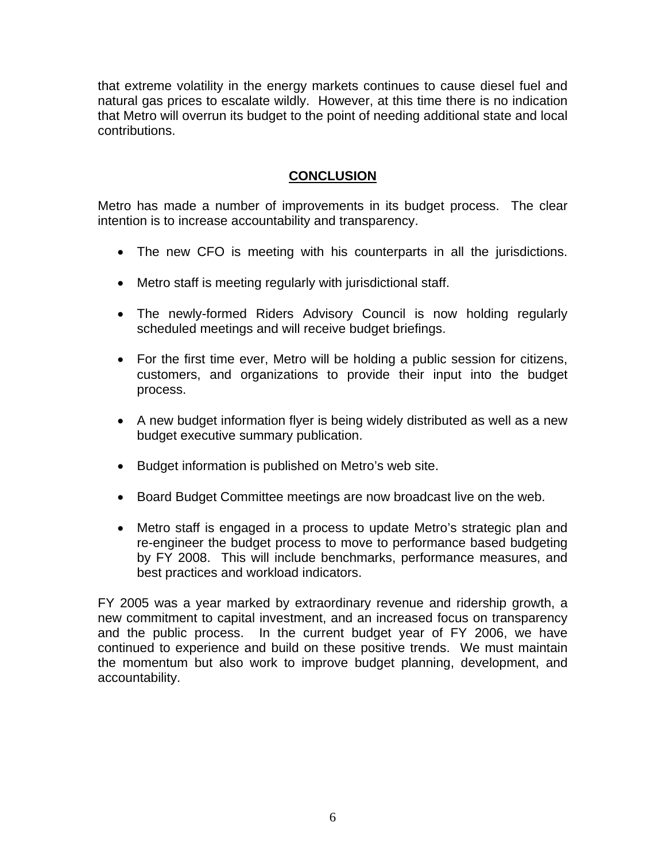that extreme volatility in the energy markets continues to cause diesel fuel and natural gas prices to escalate wildly. However, at this time there is no indication that Metro will overrun its budget to the point of needing additional state and local contributions.

## **CONCLUSION**

Metro has made a number of improvements in its budget process. The clear intention is to increase accountability and transparency.

- The new CFO is meeting with his counterparts in all the jurisdictions.
- Metro staff is meeting regularly with jurisdictional staff.
- The newly-formed Riders Advisory Council is now holding regularly scheduled meetings and will receive budget briefings.
- For the first time ever, Metro will be holding a public session for citizens, customers, and organizations to provide their input into the budget process.
- A new budget information flyer is being widely distributed as well as a new budget executive summary publication.
- Budget information is published on Metro's web site.
- Board Budget Committee meetings are now broadcast live on the web.
- Metro staff is engaged in a process to update Metro's strategic plan and re-engineer the budget process to move to performance based budgeting by FY 2008. This will include benchmarks, performance measures, and best practices and workload indicators.

FY 2005 was a year marked by extraordinary revenue and ridership growth, a new commitment to capital investment, and an increased focus on transparency and the public process. In the current budget year of FY 2006, we have continued to experience and build on these positive trends. We must maintain the momentum but also work to improve budget planning, development, and accountability.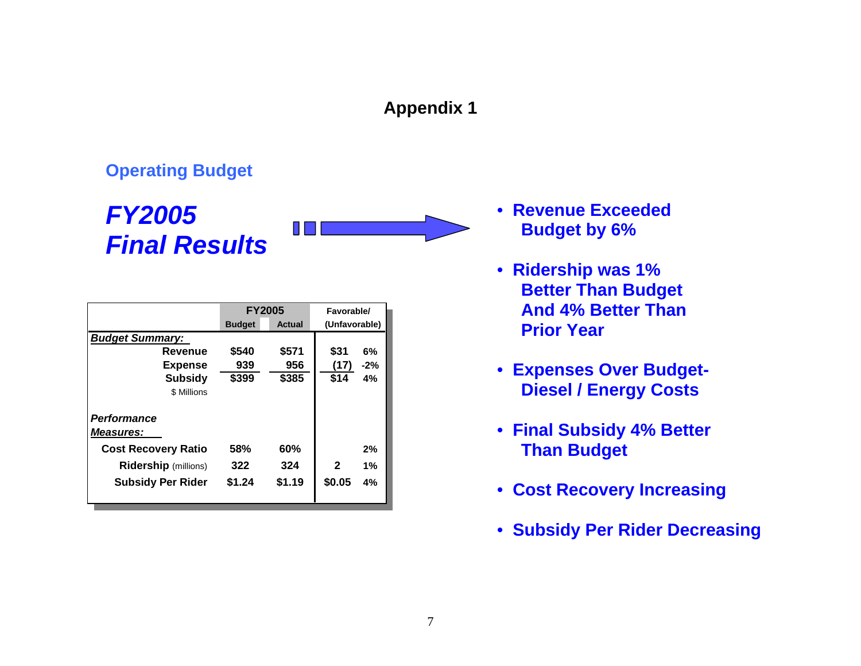# **Appendix 1**

# **Operating Budget**



|                                 | <b>FY2005</b> |               | Favorable/    |       |
|---------------------------------|---------------|---------------|---------------|-------|
|                                 | <b>Budget</b> | <b>Actual</b> | (Unfavorable) |       |
| <b>Budget Summary:</b>          |               |               |               |       |
| Revenue                         | \$540         | \$571         | \$31          | 6%    |
| <b>Expense</b>                  | 939           | 956           | (17           | $-2%$ |
| <b>Subsidy</b>                  | \$399         | \$385         | \$14          | 4%    |
| \$ Millions                     |               |               |               |       |
| <b>Performance</b><br>Measures: |               |               |               |       |
| <b>Cost Recovery Ratio</b>      | 58%           | 60%           |               | 2%    |
| <b>Ridership</b> (millions)     | 322           | 324           | $\mathbf{2}$  | 1%    |
| <b>Subsidy Per Rider</b>        | \$1.24        | \$1.19        | \$0.05        | 4%    |

- • **Revenue Exceeded Budget by 6%**
- • **Ridership was 1% Better Than Budget And 4% Better Than Prior Year**
- • **Expenses Over Budget- Diesel / Energy Costs**
- • **Final Subsidy 4% Better Than Budget**
- • **Cost Recovery Increasing**
- • **Subsidy Per Rider Decreasing**